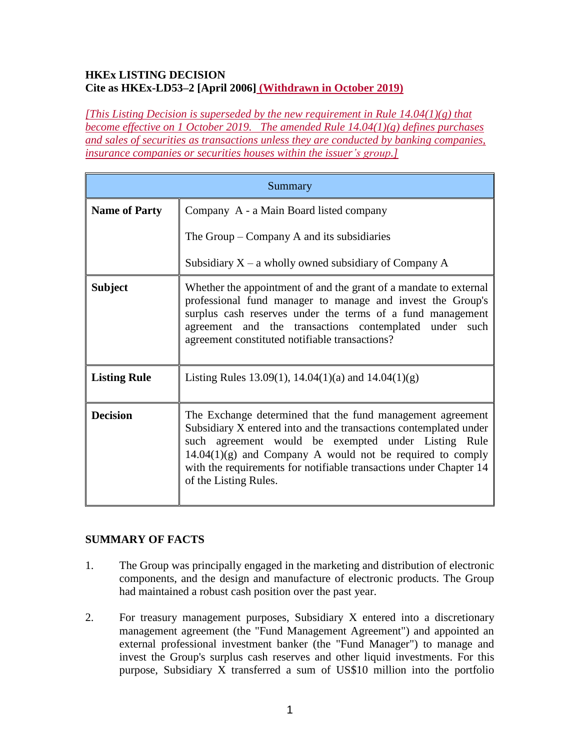## **HKEx LISTING DECISION Cite as HKEx-LD53–2 [April 2006] (Withdrawn in October 2019)**

*[This Listing Decision is superseded by the new requirement in Rule 14.04(1)(g) that become effective on 1 October 2019. The amended Rule 14.04(1)(g) defines purchases and sales of securities as transactions unless they are conducted by banking companies, insurance companies or securities houses within the issuer's group.]*

| Summary              |                                                                                                                                                                                                                                                                                                                                                      |
|----------------------|------------------------------------------------------------------------------------------------------------------------------------------------------------------------------------------------------------------------------------------------------------------------------------------------------------------------------------------------------|
| <b>Name of Party</b> | Company A - a Main Board listed company                                                                                                                                                                                                                                                                                                              |
|                      | The Group $-$ Company A and its subsidiaries                                                                                                                                                                                                                                                                                                         |
|                      | Subsidiary $X - a$ wholly owned subsidiary of Company A                                                                                                                                                                                                                                                                                              |
| <b>Subject</b>       | Whether the appointment of and the grant of a mandate to external<br>professional fund manager to manage and invest the Group's<br>surplus cash reserves under the terms of a fund management<br>agreement and the transactions contemplated under such<br>agreement constituted notifiable transactions?                                            |
| <b>Listing Rule</b>  | Listing Rules 13.09(1), 14.04(1)(a) and $14.04(1)(g)$                                                                                                                                                                                                                                                                                                |
| <b>Decision</b>      | The Exchange determined that the fund management agreement<br>Subsidiary X entered into and the transactions contemplated under<br>such agreement would be exempted under Listing Rule<br>$14.04(1)(g)$ and Company A would not be required to comply<br>with the requirements for notifiable transactions under Chapter 14<br>of the Listing Rules. |

# **SUMMARY OF FACTS**

- 1. The Group was principally engaged in the marketing and distribution of electronic components, and the design and manufacture of electronic products. The Group had maintained a robust cash position over the past year.
- 2. For treasury management purposes, Subsidiary X entered into a discretionary management agreement (the "Fund Management Agreement") and appointed an external professional investment banker (the "Fund Manager") to manage and invest the Group's surplus cash reserves and other liquid investments. For this purpose, Subsidiary X transferred a sum of US\$10 million into the portfolio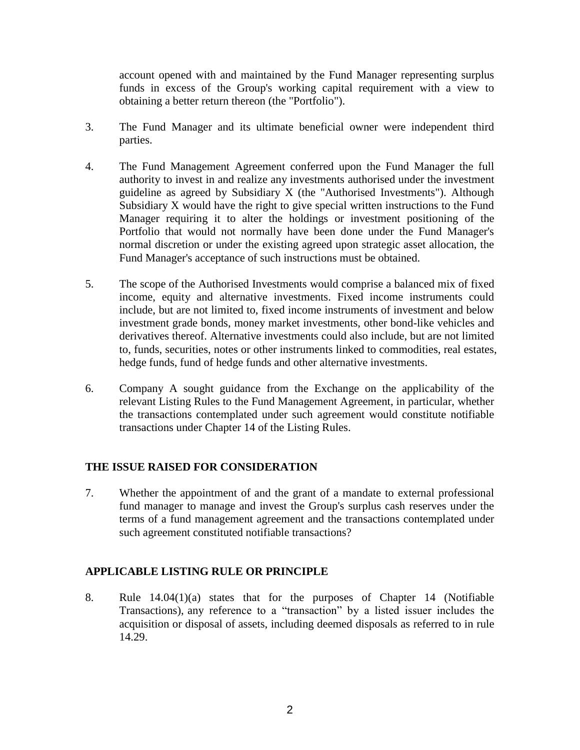account opened with and maintained by the Fund Manager representing surplus funds in excess of the Group's working capital requirement with a view to obtaining a better return thereon (the "Portfolio").

- 3. The Fund Manager and its ultimate beneficial owner were independent third parties.
- 4. The Fund Management Agreement conferred upon the Fund Manager the full authority to invest in and realize any investments authorised under the investment guideline as agreed by Subsidiary X (the "Authorised Investments"). Although Subsidiary X would have the right to give special written instructions to the Fund Manager requiring it to alter the holdings or investment positioning of the Portfolio that would not normally have been done under the Fund Manager's normal discretion or under the existing agreed upon strategic asset allocation, the Fund Manager's acceptance of such instructions must be obtained.
- 5. The scope of the Authorised Investments would comprise a balanced mix of fixed income, equity and alternative investments. Fixed income instruments could include, but are not limited to, fixed income instruments of investment and below investment grade bonds, money market investments, other bond-like vehicles and derivatives thereof. Alternative investments could also include, but are not limited to, funds, securities, notes or other instruments linked to commodities, real estates, hedge funds, fund of hedge funds and other alternative investments.
- 6. Company A sought guidance from the Exchange on the applicability of the relevant Listing Rules to the Fund Management Agreement, in particular, whether the transactions contemplated under such agreement would constitute notifiable transactions under Chapter 14 of the Listing Rules.

### **THE ISSUE RAISED FOR CONSIDERATION**

7. Whether the appointment of and the grant of a mandate to external professional fund manager to manage and invest the Group's surplus cash reserves under the terms of a fund management agreement and the transactions contemplated under such agreement constituted notifiable transactions?

### **APPLICABLE LISTING RULE OR PRINCIPLE**

8. Rule 14.04(1)(a) states that for the purposes of Chapter 14 (Notifiable Transactions), any reference to a "transaction" by a listed issuer includes the acquisition or disposal of assets, including deemed disposals as referred to in rule 14.29.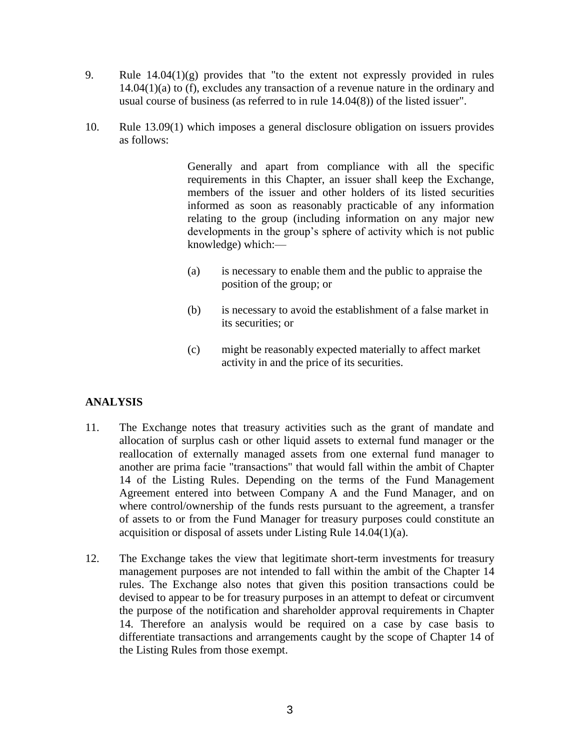- 9. Rule 14.04(1)(g) provides that "to the extent not expressly provided in rules 14.04(1)(a) to (f), excludes any transaction of a revenue nature in the ordinary and usual course of business (as referred to in rule 14.04(8)) of the listed issuer".
- 10. Rule 13.09(1) which imposes a general disclosure obligation on issuers provides as follows:

Generally and apart from compliance with all the specific requirements in this Chapter, an issuer shall keep the Exchange, members of the issuer and other holders of its listed securities informed as soon as reasonably practicable of any information relating to the group (including information on any major new developments in the group's sphere of activity which is not public knowledge) which:—

- (a) is necessary to enable them and the public to appraise the position of the group; or
- (b) is necessary to avoid the establishment of a false market in its securities; or
- (c) might be reasonably expected materially to affect market activity in and the price of its securities.

# **ANALYSIS**

- 11. The Exchange notes that treasury activities such as the grant of mandate and allocation of surplus cash or other liquid assets to external fund manager or the reallocation of externally managed assets from one external fund manager to another are prima facie "transactions" that would fall within the ambit of Chapter 14 of the Listing Rules. Depending on the terms of the Fund Management Agreement entered into between Company A and the Fund Manager, and on where control/ownership of the funds rests pursuant to the agreement, a transfer of assets to or from the Fund Manager for treasury purposes could constitute an acquisition or disposal of assets under Listing Rule 14.04(1)(a).
- 12. The Exchange takes the view that legitimate short-term investments for treasury management purposes are not intended to fall within the ambit of the Chapter 14 rules. The Exchange also notes that given this position transactions could be devised to appear to be for treasury purposes in an attempt to defeat or circumvent the purpose of the notification and shareholder approval requirements in Chapter 14. Therefore an analysis would be required on a case by case basis to differentiate transactions and arrangements caught by the scope of Chapter 14 of the Listing Rules from those exempt.